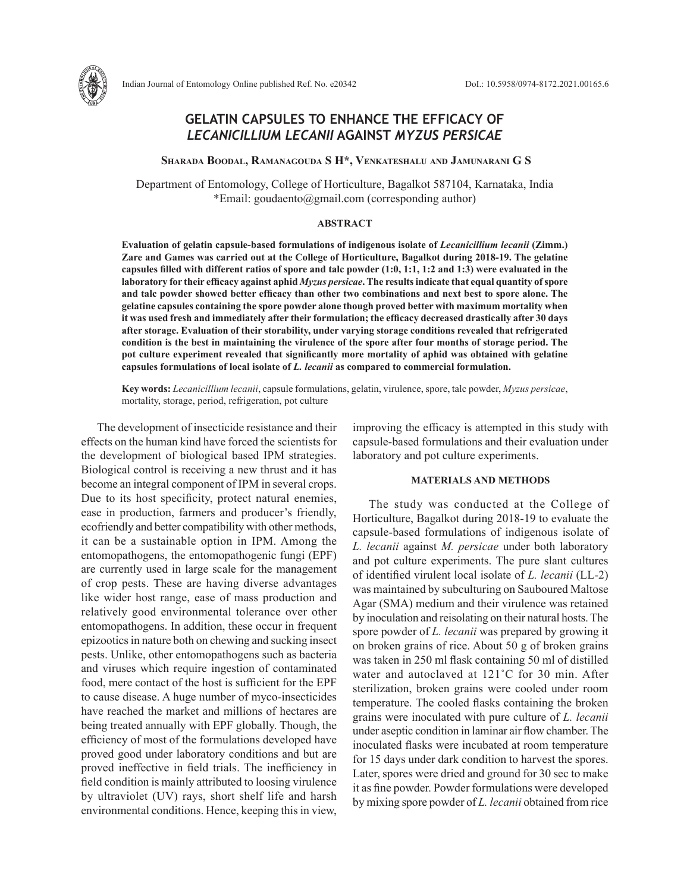# **GELATIN CAPSULES TO ENHANCE THE EFFICACY OF**  *LECANICILLIUM LECANII* **AGAINST** *MYZUS PERSICAE*

 **Sharada Boodal, Ramanagouda S H\*, Venkateshalu and Jamunarani G S** 

Department of Entomology, College of Horticulture, Bagalkot 587104, Karnataka, India \*Email: goudaento@gmail.com (corresponding author)

## **ABSTRACT**

**Evaluation of gelatin capsule-based formulations of indigenous isolate of** *Lecanicillium lecanii* **(Zimm.) Zare and Games was carried out at the College of Horticulture, Bagalkot during 2018-19. The gelatine capsules filled with different ratios of spore and talc powder (1:0, 1:1, 1:2 and 1:3) were evaluated in the laboratory for their efficacy against aphid** *Myzus persicae***. The results indicate that equal quantity of spore and talc powder showed better efficacy than other two combinations and next best to spore alone. The gelatine capsules containing the spore powder alone though proved better with maximum mortality when it was used fresh and immediately after their formulation; the efficacy decreased drastically after 30 days after storage. Evaluation of their storability, under varying storage conditions revealed that refrigerated condition is the best in maintaining the virulence of the spore after four months of storage period. The pot culture experiment revealed that significantly more mortality of aphid was obtained with gelatine capsules formulations of local isolate of** *L. lecanii* **as compared to commercial formulation.** 

**Key words:** *Lecanicillium lecanii*, capsule formulations, gelatin, virulence, spore, talc powder, *Myzus persicae*, mortality, storage, period, refrigeration, pot culture

The development of insecticide resistance and their effects on the human kind have forced the scientists for the development of biological based IPM strategies. Biological control is receiving a new thrust and it has become an integral component of IPM in several crops. Due to its host specificity, protect natural enemies, ease in production, farmers and producer's friendly, ecofriendly and better compatibility with other methods, it can be a sustainable option in IPM. Among the entomopathogens, the entomopathogenic fungi (EPF) are currently used in large scale for the management of crop pests. These are having diverse advantages like wider host range, ease of mass production and relatively good environmental tolerance over other entomopathogens. In addition, these occur in frequent epizootics in nature both on chewing and sucking insect pests. Unlike, other entomopathogens such as bacteria and viruses which require ingestion of contaminated food, mere contact of the host is sufficient for the EPF to cause disease. A huge number of myco-insecticides have reached the market and millions of hectares are being treated annually with EPF globally. Though, the efficiency of most of the formulations developed have proved good under laboratory conditions and but are proved ineffective in field trials. The inefficiency in field condition is mainly attributed to loosing virulence by ultraviolet (UV) rays, short shelf life and harsh environmental conditions. Hence, keeping this in view, improving the efficacy is attempted in this study with capsule-based formulations and their evaluation under laboratory and pot culture experiments.

#### **MATERIALS AND METHODS**

The study was conducted at the College of Horticulture, Bagalkot during 2018-19 to evaluate the capsule-based formulations of indigenous isolate of *L. lecanii* against *M. persicae* under both laboratory and pot culture experiments. The pure slant cultures of identified virulent local isolate of *L. lecanii* (LL-2) was maintained by subculturing on Sauboured Maltose Agar (SMA) medium and their virulence was retained by inoculation and reisolating on their natural hosts. The spore powder of *L. lecanii* was prepared by growing it on broken grains of rice. About 50 g of broken grains was taken in 250 ml flask containing 50 ml of distilled water and autoclaved at 121˚C for 30 min. After sterilization, broken grains were cooled under room temperature. The cooled flasks containing the broken grains were inoculated with pure culture of *L. lecanii*  under aseptic condition in laminar air flow chamber. The inoculated flasks were incubated at room temperature for 15 days under dark condition to harvest the spores. Later, spores were dried and ground for 30 sec to make it as fine powder. Powder formulations were developed by mixing spore powder of *L. lecanii* obtained from rice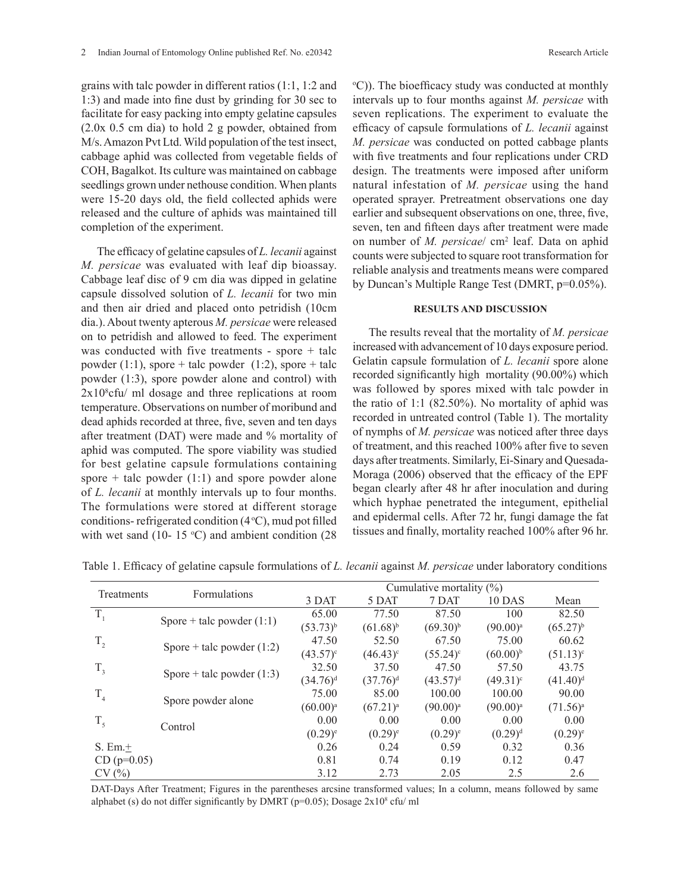grains with talc powder in different ratios (1:1, 1:2 and 1:3) and made into fine dust by grinding for 30 sec to facilitate for easy packing into empty gelatine capsules (2.0x 0.5 cm dia) to hold 2 g powder, obtained from M/s. Amazon Pvt Ltd. Wild population of the test insect, cabbage aphid was collected from vegetable fields of COH, Bagalkot. Its culture was maintained on cabbage seedlings grown under nethouse condition. When plants were 15-20 days old, the field collected aphids were released and the culture of aphids was maintained till completion of the experiment.

The efficacy of gelatine capsules of *L. lecanii* against *M. persicae* was evaluated with leaf dip bioassay. Cabbage leaf disc of 9 cm dia was dipped in gelatine capsule dissolved solution of *L. lecanii* for two min and then air dried and placed onto petridish (10cm dia.). About twenty apterous *M. persicae* were released on to petridish and allowed to feed. The experiment was conducted with five treatments - spore + talc powder (1:1), spore + talc powder (1:2), spore + talc powder (1:3), spore powder alone and control) with 2x108 cfu/ ml dosage and three replications at room temperature. Observations on number of moribund and dead aphids recorded at three, five, seven and ten days after treatment (DAT) were made and % mortality of aphid was computed. The spore viability was studied for best gelatine capsule formulations containing spore  $+$  talc powder (1:1) and spore powder alone of *L. lecanii* at monthly intervals up to four months. The formulations were stored at different storage conditions- refrigerated condition  $(4°C)$ , mud pot filled with wet sand (10- 15  $\degree$ C) and ambient condition (28)

<sup>o</sup>C)). The bioefficacy study was conducted at monthly intervals up to four months against *M. persicae* with seven replications. The experiment to evaluate the efficacy of capsule formulations of *L. lecanii* against *M. persicae* was conducted on potted cabbage plants with five treatments and four replications under CRD design. The treatments were imposed after uniform natural infestation of *M. persicae* using the hand operated sprayer. Pretreatment observations one day earlier and subsequent observations on one, three, five, seven, ten and fifteen days after treatment were made on number of *M. persicae*/ cm2 leaf. Data on aphid counts were subjected to square root transformation for reliable analysis and treatments means were compared by Duncan's Multiple Range Test (DMRT, p=0.05%).

### **RESULTS AND DISCUSSION**

The results reveal that the mortality of *M. persicae* increased with advancement of 10 days exposure period. Gelatin capsule formulation of *L. lecanii* spore alone recorded significantly high mortality (90.00%) which was followed by spores mixed with talc powder in the ratio of 1:1 (82.50%). No mortality of aphid was recorded in untreated control (Table 1). The mortality of nymphs of *M. persicae* was noticed after three days of treatment, and this reached 100% after five to seven days after treatments. Similarly, Ei-Sinary and Quesada-Moraga (2006) observed that the efficacy of the EPF began clearly after 48 hr after inoculation and during which hyphae penetrated the integument, epithelial and epidermal cells. After 72 hr, fungi damage the fat tissues and finally, mortality reached 100% after 96 hr.

| Treatments     | <b>Formulations</b>         |               |                   | Cumulative mortality $(\%)$ |                      |               |
|----------------|-----------------------------|---------------|-------------------|-----------------------------|----------------------|---------------|
|                |                             | 3 DAT         | 5 DAT             | 7 DAT                       | 10 DAS               | Mean          |
| T,             |                             | 65.00         | 77.50             | 87.50                       | 100                  | 82.50         |
|                | Spore + talc powder $(1:1)$ | $(53.73)^{b}$ | $(61.68)^{b}$     | $(69.30)^{b}$               | (90.00) <sup>a</sup> | $(65.27)^{b}$ |
| $T_{2}$        |                             | 47.50         | 52.50             | 67.50                       | 75.00                | 60.62         |
|                | Spore + talc powder $(1:2)$ | $(43.57)^c$   | $(46.43)^{\circ}$ | $(55.24)^c$                 | $(60.00)^{b}$        | $(51.13)^c$   |
| $T_{3}$        |                             | 32.50         | 37.50             | 47.50                       | 57.50                | 43.75         |
|                | Spore + talc powder $(1:3)$ | $(34.76)^d$   | $(37.76)^d$       | $(43.57)^d$                 | $(49.31)^c$          | $(41.40)^d$   |
| T <sub>4</sub> |                             | 75.00         | 85.00             | 100.00                      | 100.00               | 90.00         |
|                | Spore powder alone          | $(60.00)^{a}$ | $(67.21)^a$       | $(90.00)^{a}$               | $(90.00)^{a}$        | $(71.56)^{a}$ |
| $T_{\rm 5}$    |                             | 0.00          | 0.00              | 0.00                        | 0.00                 | 0.00          |
|                | Control                     | $(0.29)^{e}$  | $(0.29)^{e}$      | $(0.29)^{e}$                | $(0.29)^d$           | $(0.29)^{e}$  |
| S. Em. $\pm$   |                             | 0.26          | 0.24              | 0.59                        | 0.32                 | 0.36          |
| $CD (p=0.05)$  |                             | 0.81          | 0.74              | 0.19                        | 0.12                 | 0.47          |
| CV(%)          |                             | 3.12          | 2.73              | 2.05                        | 2.5                  | 2.6           |

Table 1. Efficacy of gelatine capsule formulations of *L. lecanii* against *M. persicae* under laboratory conditions

DAT-Days After Treatment; Figures in the parentheses arcsine transformed values; In a column, means followed by same alphabet (s) do not differ significantly by DMRT ( $p=0.05$ ); Dosage  $2x10<sup>8</sup>$  cfu/ml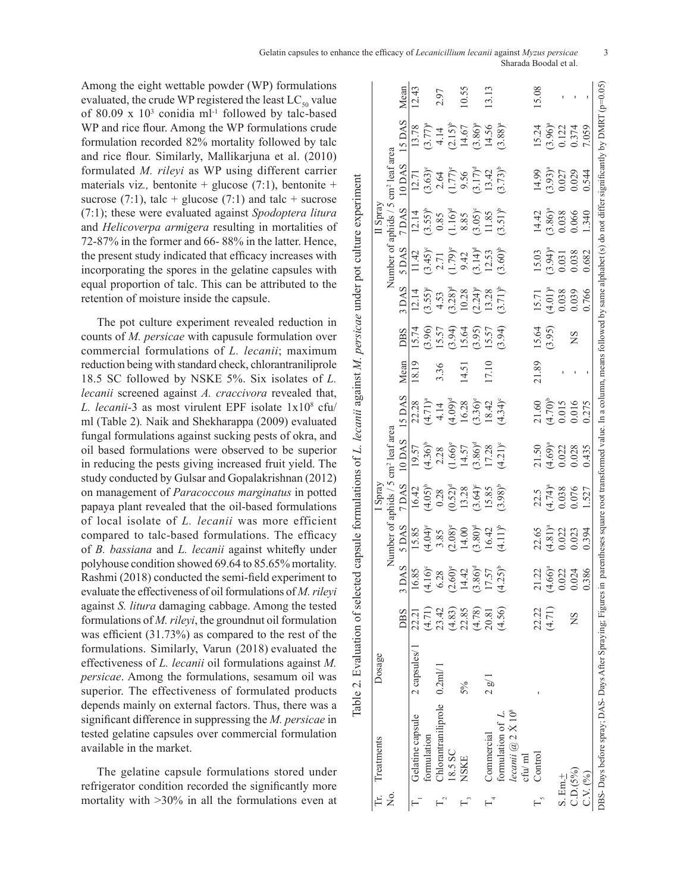Among the eight wettable powder (WP) formulations evaluated, the crude WP registered the least  $LC_{50}$  value of 80.09 x  $10<sup>3</sup>$  conidia ml<sup>-1</sup> followed by talc-based WP and rice flour. Among the WP formulations crude formulation recorded 82% mortality followed by talc and rice flour. Similarly, Mallikarjuna et al. (2010) formulated *M. rileyi* as WP using different carrier materials viz*.,* bentonite + glucose (7:1), bentonite + sucrose (7:1), talc + glucose (7:1) and talc + sucrose (7:1); these were evaluated against *Spodoptera litura* and *Helicoverpa armigera* resulting in mortalities of 72-87% in the former and 66- 88% in the latter. Hence, the present study indicated that efficacy increases with incorporating the spores in the gelatine capsules with equal proportion of talc. This can be attributed to the retention of moisture inside the capsule.

The pot culture experiment revealed reduction in counts of *M. persicae* with capusule formulation over commercial formulations of *L. lecanii*; maximum reduction being with standard check, chlorantraniliprole 18.5 SC followed by NSKE 5%. Six isolates of *L. lecanii* screened against *A. craccivora* revealed that, *L. lecanii*-3 as most virulent EPF isolate 1x108 cfu/ ml (Table 2)*.* Naik and Shekharappa (2009) evaluated fungal formulations against sucking pests of okra, and oil based formulations were observed to be superior in reducing the pests giving increased fruit yield. The study conducted by Gulsar and Gopalakrishnan (2012) on management of *Paracoccous marginatus* in potted papaya plant revealed that the oil-based formulations of local isolate of *L. lecanii* was more efficient compared to talc-based formulations. The efficacy of *B. bassiana* and *L. lecanii* against whitefly under polyhouse condition showed 69.64 to 85.65% mortality. Rashmi (2018) conducted the semi-field experiment to evaluate the effectiveness of oil formulations of *M. rileyi*  against *S. litura* damaging cabbage. Among the tested formulations of *M. rileyi*, the groundnut oil formulation was efficient (31.73%) as compared to the rest of the formulations. Similarly, Varun (2018) evaluated the effectiveness of *L. lecanii* oil formulations against *M. persicae*. Among the formulations, sesamum oil was superior. The effectiveness of formulated products depends mainly on external factors. Thus, there was a significant difference in suppressing the *M. persicae* in tested gelatine capsules over commercial formulation available in the market.

The gelatine capsule formulations stored under refrigerator condition recorded the significantly more mortality with >30% in all the formulations even at

|                             | Dosage       |            |                                                          |                                                                                 | I Spra                                                                |                                                                                    |                                                                     |           |                                              |                                                                                                                        |                                                                                                              | II Spray                                                                         |                                                                                     |                                                                      |       |
|-----------------------------|--------------|------------|----------------------------------------------------------|---------------------------------------------------------------------------------|-----------------------------------------------------------------------|------------------------------------------------------------------------------------|---------------------------------------------------------------------|-----------|----------------------------------------------|------------------------------------------------------------------------------------------------------------------------|--------------------------------------------------------------------------------------------------------------|----------------------------------------------------------------------------------|-------------------------------------------------------------------------------------|----------------------------------------------------------------------|-------|
|                             |              |            |                                                          | Number of aphids / 5                                                            |                                                                       | cm <sup>2</sup> leaf area                                                          |                                                                     |           |                                              |                                                                                                                        |                                                                                                              | Number of aphids / 5                                                             | cm <sup>2</sup> leaf area                                                           |                                                                      |       |
|                             |              | <b>DBS</b> | DAS                                                      | 5 DAS                                                                           | 7 DAS                                                                 | 10 DAS                                                                             | 15 DAS                                                              | Mean      | <b>DBS</b>                                   | 3 DAS                                                                                                                  | 5 <u>DAS</u>                                                                                                 | 7 DAS                                                                            | 10 DAS                                                                              | 15 DAS                                                               | Mean  |
|                             | 2 capsules/1 | 22.21      | 6.85                                                     |                                                                                 |                                                                       |                                                                                    |                                                                     | 18.19     | 15.74                                        |                                                                                                                        |                                                                                                              |                                                                                  | 12.71                                                                               |                                                                      | 12.43 |
|                             |              | (4.71)     | $(4.16)^{c}$<br>6.28                                     |                                                                                 |                                                                       |                                                                                    |                                                                     |           |                                              |                                                                                                                        |                                                                                                              |                                                                                  |                                                                                     |                                                                      |       |
| Chlorantraniliprole 0.2ml/1 |              | 23.42      |                                                          |                                                                                 |                                                                       |                                                                                    |                                                                     | 3.36      |                                              |                                                                                                                        |                                                                                                              |                                                                                  |                                                                                     |                                                                      | 2.97  |
|                             |              | (4.83)     | $.60)$ <sup>e</sup><br>14.42<br>$\overline{\mathcal{C}}$ | 15.85<br>$(4.04)^e$<br>$3.85$<br>$(2.08)^e$<br>$14.00$<br>$(3.80)^d$<br>$16.42$ | 16.42<br>$(4.05)^{b}$<br>0.28<br>0.52) <sup>d</sup><br>13.28<br>15.85 | $19.57$<br>$(4.36)^\circ$<br>$2.28$<br>$(1.66)^\circ$<br>$14.57$<br>$(3.86)^\circ$ | $22.28$<br>$(4.71)^a$<br>$4.14$<br>$(4.09)^d$<br>$16.28$<br>$18.42$ |           | $(3.96)$<br>15.57<br>15.64<br>15.64<br>15.57 |                                                                                                                        |                                                                                                              | $12.14$<br>$(3.55)^b$<br>$0.85$<br>$(1.16)^d$<br>$8.85$<br>$(3.05)^e$<br>$11.85$ |                                                                                     | 13.78<br>$(3.77)^a$<br>$4.14$<br>$(2.15)^b$<br>$14.67$<br>$(3.86)^a$ |       |
| $5\%$                       |              | 22.85      |                                                          |                                                                                 |                                                                       |                                                                                    |                                                                     | 14.51     |                                              |                                                                                                                        |                                                                                                              |                                                                                  |                                                                                     |                                                                      | 10.55 |
|                             |              | (4.78)     | $.86)$ <sup>d</sup><br>نى)                               |                                                                                 |                                                                       |                                                                                    |                                                                     |           |                                              |                                                                                                                        |                                                                                                              |                                                                                  |                                                                                     |                                                                      |       |
| 2g/1                        |              | 20.81      | 7.57                                                     |                                                                                 |                                                                       |                                                                                    |                                                                     | $17.10\,$ |                                              |                                                                                                                        |                                                                                                              |                                                                                  |                                                                                     |                                                                      | 13.13 |
|                             |              | (4.56)     | $(4.25)^{b}$                                             | $(4.11)^{b}$                                                                    | $(3.98)^{b}$                                                          | $(4.21)^{c}$                                                                       | $(4.34)^{c}$                                                        |           | (3.94)                                       | $12.14$<br>$(3.55)^\circ$<br>$4.53$<br>$(3.28)^\circ$<br>$(0.24)^\circ$<br>$(2.24)^\circ$<br>$13.28$<br>$(3.71)^\circ$ | 11.42<br>$(3.45)^\circ$<br>$2.71$<br>$(1.79)^\circ$<br>$9.42$<br>$(3.14)^\circ$<br>$12.53$<br>$(3.60)^\circ$ | $(3.51)^{b}$                                                                     | $(3.63)^e$<br>$2.64$<br>$(1.77)^e$<br>$9.56$<br>$(3.17)^d$<br>$13.42$<br>$(3.73)^b$ | $(3.88)^{a}$                                                         |       |
|                             |              |            |                                                          |                                                                                 |                                                                       |                                                                                    |                                                                     |           |                                              |                                                                                                                        |                                                                                                              |                                                                                  |                                                                                     |                                                                      |       |
|                             |              | 22.22      |                                                          |                                                                                 |                                                                       |                                                                                    |                                                                     | 21.89     |                                              |                                                                                                                        |                                                                                                              |                                                                                  | 14.99                                                                               | 15.24                                                                | 15.08 |
|                             |              | (4.71)     | 22.5024<br>É                                             | $22.65$<br>$(4.81)^n$<br>$0.023$<br>$0.023$                                     | $22.5$<br>$(4.74)^{a}$<br>0.076<br>0.076                              | 21.50<br>0.69)<br>0.023<br>0.028                                                   |                                                                     |           | 15.64<br>(3.95)                              |                                                                                                                        |                                                                                                              |                                                                                  | $(3.93)^n$<br>0.027                                                                 |                                                                      |       |
|                             |              |            |                                                          |                                                                                 |                                                                       |                                                                                    |                                                                     |           |                                              |                                                                                                                        |                                                                                                              |                                                                                  |                                                                                     |                                                                      |       |
|                             |              | ΣN         |                                                          |                                                                                 |                                                                       |                                                                                    | $(4.70)^b$<br>$(4.70)^b$<br>0.015<br>0.016                          |           | SN                                           | $15.71$<br>$(4.01)^a$<br>0.038<br>0.039                                                                                | $\begin{array}{c} 15.03 \\ (3.94)^a \\ 0.031 \\ 0.038 \end{array}$                                           | $14.42$<br>$(3.86)^a$<br>0.038<br>0.066                                          |                                                                                     | $(3.96)^{a}$<br>0.122<br>0.374                                       |       |
|                             |              |            | 0.386                                                    | 0.394                                                                           | 1.527                                                                 | 0.435                                                                              | 0.275                                                               |           |                                              | 0.766                                                                                                                  | 0.682                                                                                                        | 1.340                                                                            | 0.544                                                                               | 7.059                                                                |       |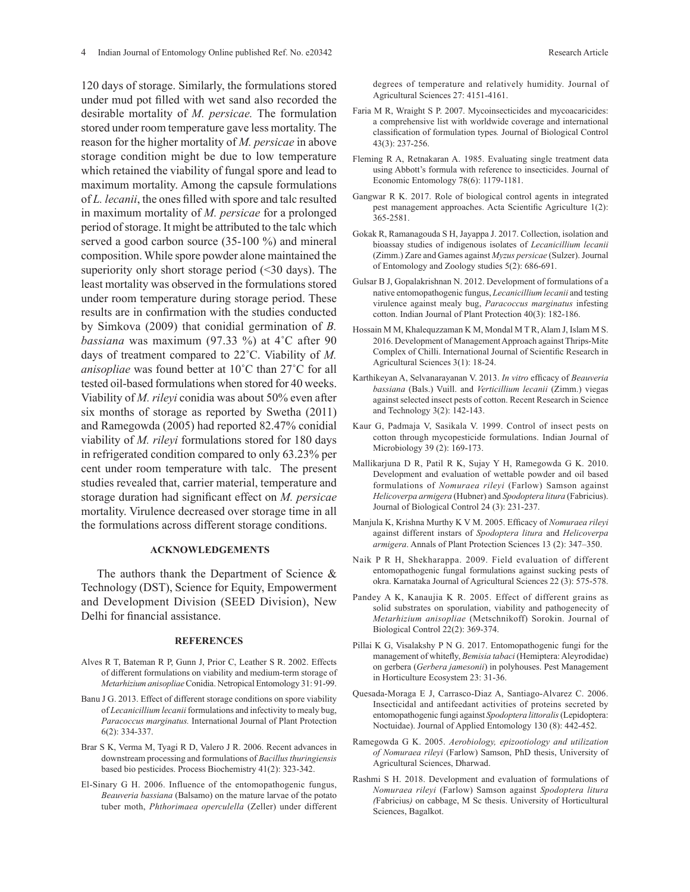120 days of storage. Similarly, the formulations stored under mud pot filled with wet sand also recorded the desirable mortality of *M. persicae.* The formulation stored under room temperature gave less mortality. The reason for the higher mortality of *M. persicae* in above storage condition might be due to low temperature which retained the viability of fungal spore and lead to maximum mortality. Among the capsule formulations of *L. lecanii*, the ones filled with spore and talc resulted in maximum mortality of *M. persicae* for a prolonged period of storage. It might be attributed to the talc which served a good carbon source (35-100 %) and mineral composition. While spore powder alone maintained the superiority only short storage period  $(\leq 30 \text{ days})$ . The least mortality was observed in the formulations stored under room temperature during storage period. These results are in confirmation with the studies conducted by Simkova (2009) that conidial germination of *B. bassiana* was maximum (97.33 %) at 4˚C after 90 days of treatment compared to 22˚C. Viability of *M. anisopliae* was found better at 10˚C than 27˚C for all tested oil-based formulations when stored for 40 weeks. Viability of *M. rileyi* conidia was about 50% even after six months of storage as reported by Swetha (2011) and Ramegowda (2005) had reported 82.47% conidial viability of *M. rileyi* formulations stored for 180 days in refrigerated condition compared to only 63.23% per cent under room temperature with talc. The present studies revealed that, carrier material, temperature and storage duration had significant effect on *M. persicae* mortality. Virulence decreased over storage time in all the formulations across different storage conditions.

#### **ACKNOWLEDGEMENTS**

The authors thank the Department of Science & Technology (DST), Science for Equity, Empowerment and Development Division (SEED Division), New Delhi for financial assistance.

#### **REFERENCES**

- Alves R T, Bateman R P, Gunn J, Prior C, Leather S R. 2002. Effects of different formulations on viability and medium-term storage of *Metarhizium anisopliae* Conidia. Netropical Entomology 31: 91-99.
- Banu J G. 2013. Effect of different storage conditions on spore viability of *Lecanicillium lecanii* formulations and infectivity to mealy bug, *Paracoccus marginatus.* International Journal of Plant Protection 6(2): 334-337.
- Brar S K, Verma M, Tyagi R D, Valero J R. 2006. Recent advances in downstream processing and formulations of *Bacillus thuringiensis* based bio pesticides. Process Biochemistry 41(2): 323-342.
- El-Sinary G H. 2006. Influence of the entomopathogenic fungus, *Beauveria bassiana* (Balsamo) on the mature larvae of the potato tuber moth, *Phthorimaea operculella* (Zeller) under different

degrees of temperature and relatively humidity. Journal of Agricultural Sciences 27: 4151-4161.

- Faria M R, Wraight S P. 2007. Mycoinsecticides and mycoacaricides: a comprehensive list with worldwide coverage and international classification of formulation types*.* Journal of Biological Control 43(3): 237-256.
- Fleming R A, Retnakaran A. 1985. Evaluating single treatment data using Abbott's formula with reference to insecticides. Journal of Economic Entomology 78(6): 1179-1181.
- Gangwar R K. 2017. Role of biological control agents in integrated pest management approaches. Acta Scientific Agriculture 1(2): 365-2581.
- Gokak R, Ramanagouda S H, Jayappa J. 2017. Collection, isolation and bioassay studies of indigenous isolates of *Lecanicillium lecanii* (Zimm.) Zare and Games against *Myzus persicae* (Sulzer). Journal of Entomology and Zoology studies 5(2): 686-691.
- Gulsar B J, Gopalakrishnan N. 2012. Development of formulations of a native entomopathogenic fungus, *Lecanicillium lecanii* and testing virulence against mealy bug, *Paracoccus marginatus* infesting cotton. Indian Journal of Plant Protection 40(3): 182-186.
- Hossain M M, Khalequzzaman K M, Mondal M T R, Alam J, Islam M S. 2016. Development of Management Approach against Thrips-Mite Complex of Chilli. International Journal of Scientific Research in Agricultural Sciences 3(1): 18-24.
- Karthikeyan A, Selvanarayanan V. 2013. *In vitro* efficacy of *Beauveria bassiana* (Bals.) Vuill. and *Verticillium lecanii* (Zimm.) viegas against selected insect pests of cotton. Recent Research in Science and Technology 3(2): 142-143.
- Kaur G, Padmaja V, Sasikala V. 1999. Control of insect pests on cotton through mycopesticide formulations. Indian Journal of Microbiology 39 (2): 169-173.
- Mallikarjuna D R, Patil R K, Sujay Y H, Ramegowda G K. 2010. Development and evaluation of wettable powder and oil based formulations of *Nomuraea rileyi* (Farlow) Samson against *Helicoverpa armigera* (Hubner) and *Spodoptera litura* (Fabricius). Journal of Biological Control 24 (3): 231-237.
- Manjula K, Krishna Murthy K V M. 2005. Efficacy of *Nomuraea rileyi* against different instars of *Spodoptera litura* and *Helicoverpa armigera*. Annals of Plant Protection Sciences 13 (2): 347–350.
- Naik P R H, Shekharappa. 2009. Field evaluation of different entomopathogenic fungal formulations against sucking pests of okra. Karnataka Journal of Agricultural Sciences 22 (3): 575-578.
- Pandey A K, Kanaujia K R. 2005. Effect of different grains as solid substrates on sporulation, viability and pathogenecity of *Metarhizium anisopliae* (Metschnikoff) Sorokin. Journal of Biological Control 22(2): 369-374.
- Pillai K G, Visalakshy P N G. 2017. Entomopathogenic fungi for the management of whitefly, *Bemisia tabaci* (Hemiptera: Aleyrodidae) on gerbera (*Gerbera jamesonii*) in polyhouses. Pest Management in Horticulture Ecosystem 23: 31-36.
- Quesada-Moraga E J, Carrasco-Diaz A, Santiago-Alvarez C. 2006. Insecticidal and antifeedant activities of proteins secreted by entomopathogenic fungi against *Spodoptera littoralis* (Lepidoptera: Noctuidae). Journal of Applied Entomology 130 (8): 442-452.
- Ramegowda G K. 2005. *Aerobiology, epizootiology and utilization of Nomuraea rileyi* (Farlow) Samson, PhD thesis, University of Agricultural Sciences, Dharwad.
- Rashmi S H. 2018. Development and evaluation of formulations of *Nomuraea rileyi* (Farlow) Samson against *Spodoptera litura (*Fabricius*)* on cabbage, M Sc thesis. University of Horticultural Sciences, Bagalkot.